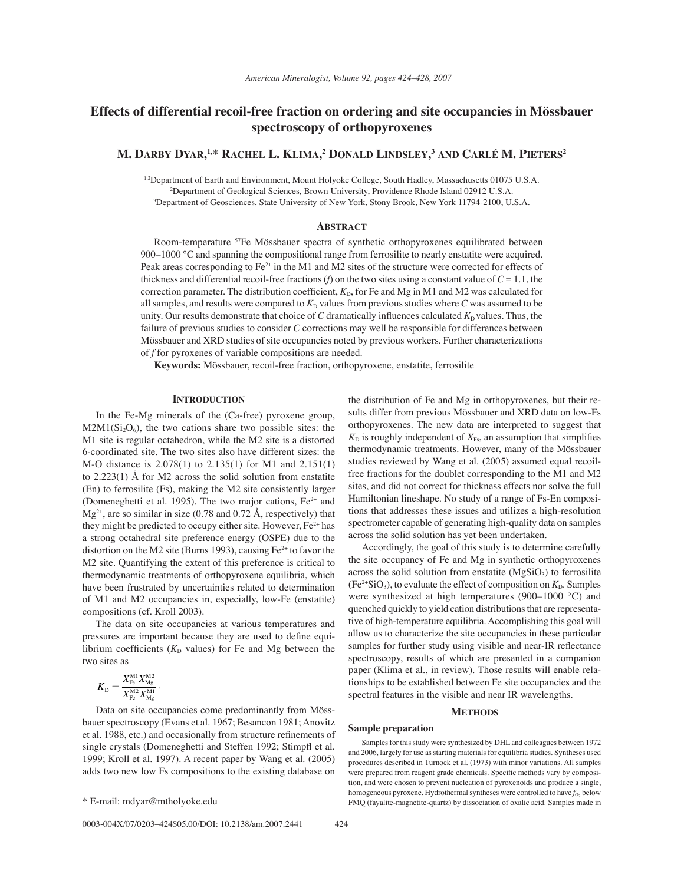# **Effects of differential recoil-free fraction on ordering and site occupancies in Mössbauer spectroscopy of orthopyroxenes**

## **M. DARBY DYAR, 1,\* RACHEL L. KLIMA, 2 DONALD LINDSLEY, <sup>3</sup> AND CARL… M. PIETERS2**

1,2Department of Earth and Environment, Mount Holyoke College, South Hadley, Massachusetts 01075 U.S.A. 2 Department of Geological Sciences, Brown University, Providence Rhode Island 02912 U.S.A. 3 Department of Geosciences, State University of New York, Stony Brook, New York 11794-2100, U.S.A.

### **ABSTRACT**

Room-temperature <sup>57</sup>Fe Mössbauer spectra of synthetic orthopyroxenes equilibrated between 900 $-1000$  °C and spanning the compositional range from ferrosilite to nearly enstatite were acquired. Peak areas corresponding to Fe<sup>2+</sup> in the M1 and M2 sites of the structure were corrected for effects of thickness and differential recoil-free fractions (*f*) on the two sites using a constant value of  $C = 1.1$ , the correction parameter. The distribution coefficient,  $K<sub>D</sub>$ , for Fe and Mg in M1 and M2 was calculated for all samples, and results were compared to  $K_D$  values from previous studies where  $C$  was assumed to be unity. Our results demonstrate that choice of  $C$  dramatically influences calculated  $K<sub>D</sub>$  values. Thus, the failure of previous studies to consider *C* corrections may well be responsible for differences between Mössbauer and XRD studies of site occupancies noted by previous workers. Further characterizations of *f* for pyroxenes of variable compositions are needed.

**Keywords:** Mˆssbauer, recoil-free fraction, orthopyroxene, enstatite, ferrosilite

## **INTRODUCTION**

In the Fe-Mg minerals of the (Ca-free) pyroxene group,  $M2M1(Si<sub>2</sub>O<sub>6</sub>)$ , the two cations share two possible sites: the M1 site is regular octahedron, while the M2 site is a distorted 6-coordinated site. The two sites also have different sizes: the M-O distance is 2.078(1) to 2.135(1) for M1 and 2.151(1) to 2.223(1) Å for M2 across the solid solution from enstatite (En) to ferrosilite (Fs), making the M2 site consistently larger (Domeneghetti et al. 1995). The two major cations,  $Fe<sup>2+</sup>$  and  $Mg^{2+}$ , are so similar in size (0.78 and 0.72 Å, respectively) that they might be predicted to occupy either site. However,  $Fe<sup>2+</sup>$  has a strong octahedral site preference energy (OSPE) due to the distortion on the M2 site (Burns 1993), causing  $Fe<sup>2+</sup>$  to favor the M2 site. Quantifying the extent of this preference is critical to thermodynamic treatments of orthopyroxene equilibria, which have been frustrated by uncertainties related to determination of M1 and M2 occupancies in, especially, low-Fe (enstatite) compositions (cf. Kroll 2003).

The data on site occupancies at various temperatures and pressures are important because they are used to define equilibrium coefficients ( $K<sub>D</sub>$  values) for Fe and Mg between the two sites as

$$
K_{\rm D} = \frac{X_{\rm Fe}^{\rm M1} X_{\rm Mg}^{\rm M2}}{X_{\rm Fe}^{\rm M2} X_{\rm Mg}^{\rm M1}}.
$$

Data on site occupancies come predominantly from Mössbauer spectroscopy (Evans et al. 1967; Besancon 1981; Anovitz et al. 1988, etc.) and occasionally from structure refinements of single crystals (Domeneghetti and Steffen 1992; Stimpfl et al. 1999; Kroll et al. 1997). A recent paper by Wang et al. (2005) adds two new low Fs compositions to the existing database on

the distribution of Fe and Mg in orthopyroxenes, but their results differ from previous Mössbauer and XRD data on low-Fs orthopyroxenes. The new data are interpreted to suggest that  $K<sub>D</sub>$  is roughly independent of  $X<sub>Fs</sub>$ , an assumption that simplifies thermodynamic treatments. However, many of the Mössbauer studies reviewed by Wang et al. (2005) assumed equal recoilfree fractions for the doublet corresponding to the M1 and M2 sites, and did not correct for thickness effects nor solve the full Hamiltonian lineshape. No study of a range of Fs-En compositions that addresses these issues and utilizes a high-resolution spectrometer capable of generating high-quality data on samples across the solid solution has yet been undertaken.

Accordingly, the goal of this study is to determine carefully the site occupancy of Fe and Mg in synthetic orthopyroxenes across the solid solution from enstatite  $(MgSiO<sub>3</sub>)$  to ferrosilite  $(Fe<sup>2+</sup>SiO<sub>3</sub>)$ , to evaluate the effect of composition on  $K<sub>D</sub>$ . Samples were synthesized at high temperatures (900–1000  $\degree$ C) and quenched quickly to yield cation distributions that are representative of high-temperature equilibria. Accomplishing this goal will allow us to characterize the site occupancies in these particular samples for further study using visible and near-IR reflectance spectroscopy, results of which are presented in a companion paper (Klima et al., in review). Those results will enable relationships to be established between Fe site occupancies and the spectral features in the visible and near IR wavelengths.

#### **METHODS**

## **Sample preparation**

Samples for this study were synthesized by DHL and colleagues between 1972 and 2006, largely for use as starting materials for equilibria studies. Syntheses used procedures described in Turnock et al. (1973) with minor variations. All samples were prepared from reagent grade chemicals. Specific methods vary by composition, and were chosen to prevent nucleation of pyroxenoids and produce a single, homogeneous pyroxene. Hydrothermal syntheses were controlled to have  $f_{O_2}$  below \* E-mail: mdyar@mtholyoke.edu FMQ (fayalite-magnetite-quartz) by dissociation of oxalic acid. Samples made in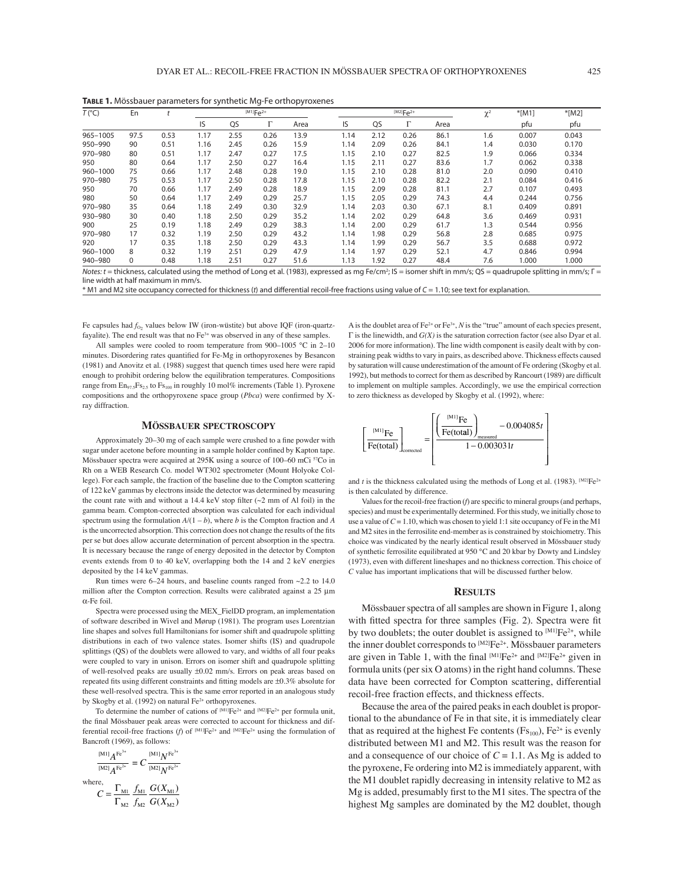**TABLE 1.** Mössbauer parameters for synthetic Mg-Fe orthopyroxenes

|                |          |      |      | $\overline{\phantom{a}}$<br>. .<br>$^{[M1]}Fe^{2+}$ |      |      |  | $^{[M2]}Fe^{2+}$ |      |      |      | $\gamma^2$ |          |         |
|----------------|----------|------|------|-----------------------------------------------------|------|------|--|------------------|------|------|------|------------|----------|---------|
| $T(^{\circ}C)$ | En       |      |      |                                                     |      |      |  |                  |      |      |      | $\sim$     | $*$ [M1] | $*(M2)$ |
|                |          |      | IS   | QS                                                  |      | Area |  | IS               | QS   | ь    | Area |            | pfu      | pfu     |
| 965-1005       | 97.5     | 0.53 | 1.17 | 2.55                                                | 0.26 | 13.9 |  | 1.14             | 2.12 | 0.26 | 86.1 | 1.6        | 0.007    | 0.043   |
| 950-990        | 90       | 0.51 | 1.16 | 2.45                                                | 0.26 | 15.9 |  | 1.14             | 2.09 | 0.26 | 84.1 | 1.4        | 0.030    | 0.170   |
| 970-980        | 80       | 0.51 | 1.17 | 2.47                                                | 0.27 | 17.5 |  | 1.15             | 2.10 | 0.27 | 82.5 | 1.9        | 0.066    | 0.334   |
| 950            | 80       | 0.64 | 1.17 | 2.50                                                | 0.27 | 16.4 |  | 1.15             | 2.11 | 0.27 | 83.6 | 1.7        | 0.062    | 0.338   |
| 960-1000       | 75       | 0.66 | 1.17 | 2.48                                                | 0.28 | 19.0 |  | 1.15             | 2.10 | 0.28 | 81.0 | 2.0        | 0.090    | 0.410   |
| 970-980        | 75       | 0.53 | 1.17 | 2.50                                                | 0.28 | 17.8 |  | 1.15             | 2.10 | 0.28 | 82.2 | 2.1        | 0.084    | 0.416   |
| 950            | 70       | 0.66 | 1.17 | 2.49                                                | 0.28 | 18.9 |  | 1.15             | 2.09 | 0.28 | 81.1 | 2.7        | 0.107    | 0.493   |
| 980            | 50       | 0.64 | 1.17 | 2.49                                                | 0.29 | 25.7 |  | 1.15             | 2.05 | 0.29 | 74.3 | 4.4        | 0.244    | 0.756   |
| 970-980        | 35       | 0.64 | 1.18 | 2.49                                                | 0.30 | 32.9 |  | 1.14             | 2.03 | 0.30 | 67.1 | 8.1        | 0.409    | 0.891   |
| 930-980        | 30       | 0.40 | 1.18 | 2.50                                                | 0.29 | 35.2 |  | 1.14             | 2.02 | 0.29 | 64.8 | 3.6        | 0.469    | 0.931   |
| 900            | 25       | 0.19 | 1.18 | 2.49                                                | 0.29 | 38.3 |  | 1.14             | 2.00 | 0.29 | 61.7 | 1.3        | 0.544    | 0.956   |
| 970-980        | 17       | 0.32 | 1.19 | 2.50                                                | 0.29 | 43.2 |  | 1.14             | 1.98 | 0.29 | 56.8 | 2.8        | 0.685    | 0.975   |
| 920            | 17       | 0.35 | 1.18 | 2.50                                                | 0.29 | 43.3 |  | 1.14             | 1.99 | 0.29 | 56.7 | 3.5        | 0.688    | 0.972   |
| 960-1000       | 8        | 0.32 | 1.19 | 2.51                                                | 0.29 | 47.9 |  | 1.14             | 1.97 | 0.29 | 52.1 | 4.7        | 0.846    | 0.994   |
| 940-980        | $\Omega$ | 0.48 | 1.18 | 2.51                                                | 0.27 | 51.6 |  | 1.13             | 1.92 | 0.27 | 48.4 | 7.6        | 1.000    | 1.000   |

Notes: t = thickness, calculated using the method of Long et al. (1983), expressed as mg Fe/cm<sup>2</sup>; IS = isomer shift in mm/s; QS = quadrupole splitting in mm/s;  $\Gamma$  = line width at half maximum in mm/s.

\* M1 and M2 site occupancy corrected for thickness (t) and diff erential recoil-free fractions using value of C = 1.10; see text for explanation.

Fe capsules had  $f_{0_2}$  values below IW (iron-wüstite) but above IQF (iron-quartzfayalite). The end result was that no  $Fe<sup>3+</sup>$  was observed in any of these samples.

All samples were cooled to room temperature from 900-1005 °C in 2-10 minutes. Disordering rates quantified for Fe-Mg in orthopyroxenes by Besancon (1981) and Anovitz et al. (1988) suggest that quench times used here were rapid enough to prohibit ordering below the equilibration temperatures. Compositions range from  $En_{97.5}Fs_{2.5}$  to  $Fs_{100}$  in roughly 10 mol% increments (Table 1). Pyroxene compositions and the orthopyroxene space group (Pbca) were confirmed by Xray diffraction.

#### A is the doublet area of  $Fe^{2+}$  or  $Fe^{3+}$ , *N* is the "true" amount of each species present, Γ is the linewidth, and *G(X)* is the saturation correction factor (see also Dyar et al. 2006 for more information). The line width component is easily dealt with by constraining peak widths to vary in pairs, as described above. Thickness effects caused by saturation will cause underestimation of the amount of Fe ordering (Skogby et al. 1992), but methods to correct for them as described by Rancourt (1989) are difficult to implement on multiple samples. Accordingly, we use the empirical correction to zero thickness as developed by Skogby et al. (1992), where:

#### **M÷SSBAUER SPECTROSCOPY**

Approximately 20–30 mg of each sample were crushed to a fine powder with sugar under acetone before mounting in a sample holder confined by Kapton tape. Mössbauer spectra were acquired at  $295K$  using a source of  $100-60$  mCi  $57Co$  in Rh on a WEB Research Co. model WT302 spectrometer (Mount Holyoke College). For each sample, the fraction of the baseline due to the Compton scattering of 122 keV gammas by electrons inside the detector was determined by measuring the count rate with and without a 14.4 keV stop filter  $({\sim}2 \text{ mm of Al foil})$  in the gamma beam. Compton-corrected absorption was calculated for each individual spectrum using the formulation  $A/(1 - b)$ , where *b* is the Compton fraction and *A* is the uncorrected absorption. This correction does not change the results of the fits per se but does allow accurate determination of percent absorption in the spectra. It is necessary because the range of energy deposited in the detector by Compton events extends from 0 to 40 keV, overlapping both the 14 and 2 keV energies deposited by the 14 keV gammas.

Run times were  $6-24$  hours, and baseline counts ranged from  $\sim$ 2.2 to 14.0 million after the Compton correction. Results were calibrated against a 25 μm α-Fe foil.

Spectra were processed using the MEX\_FielDD program, an implementation of software described in Wivel and Mørup (1981). The program uses Lorentzian line shapes and solves full Hamiltonians for isomer shift and quadrupole splitting distributions in each of two valence states. Isomer shifts (IS) and quadrupole splittings (QS) of the doublets were allowed to vary, and widths of all four peaks were coupled to vary in unison. Errors on isomer shift and quadrupole splitting of well-resolved peaks are usually ±0.02 mm/s. Errors on peak areas based on repeated fits using different constraints and fitting models are  $\pm 0.3\%$  absolute for these well-resolved spectra. This is the same error reported in an analogous study by Skogby et al. (1992) on natural Fe<sup>2+</sup> orthopyroxenes.

To determine the number of cations of  $^{[M1]}Fe^{2+}$  and  $^{[M2]}Fe^{2+}$  per formula unit, the final Mössbauer peak areas were corrected to account for thickness and differential recoil-free fractions (*f*) of  $^{[M1]}Fe^{2+}$  and  $^{[M2]}Fe^{2+}$  using the formulation of Bancroft (1969), as follows:

$$
\frac{^{[M1]}A^{Fe^{3+}}}{^{[M2]}A^{Fe^{3+}}} = C \frac{^{[M1]}N^{Fe^{3+}}}{^{[M2]}N^{Fe^{3+}}}
$$
  
where,  

$$
C = \frac{\Gamma_{M1}}{\Gamma_{M2}} \frac{f_{M1}}{f_{M2}} \frac{G(X_{M1})}{G(X_{M2})}
$$



and *t* is the thickness calculated using the methods of Long et al. (1983).  $[M2]Fe^{2+}$ is then calculated by difference.

Values for the recoil-free fraction (*f*) are specific to mineral groups (and perhaps, species) and must be experimentally determined. For this study, we initially chose to use a value of  $C = 1.10$ , which was chosen to yield 1:1 site occupancy of Fe in the M1 and M2 sites in the ferrosilite end-member as is constrained by stoichiometry. This choice was vindicated by the nearly identical result observed in Mössbauer study of synthetic ferrosilite equilibrated at 950 °C and 20 kbar by Dowty and Lindsley (1973), even with different lineshapes and no thickness correction. This choice of *C* value has important implications that will be discussed further below.

#### **RESULTS**

Mössbauer spectra of all samples are shown in Figure 1, along with fitted spectra for three samples (Fig. 2). Spectra were fit by two doublets; the outer doublet is assigned to  $^{[M1]}Fe^{2+}$ , while the inner doublet corresponds to  $^{[M2]}Fe^{2+}$ . Mössbauer parameters are given in Table 1, with the final  $^{[M1]}Fe^{2+}$  and  $^{[M2]}Fe^{2+}$  given in formula units (per six O atoms) in the right hand columns. These data have been corrected for Compton scattering, differential recoil-free fraction effects, and thickness effects.

Because the area of the paired peaks in each doublet is proportional to the abundance of Fe in that site, it is immediately clear that as required at the highest Fe contents ( $Fs_{100}$ ),  $Fe<sup>2+</sup>$  is evenly distributed between M1 and M2. This result was the reason for and a consequence of our choice of  $C = 1.1$ . As Mg is added to the pyroxene, Fe ordering into M2 is immediately apparent, with the M1 doublet rapidly decreasing in intensity relative to M2 as Mg is added, presumably first to the M1 sites. The spectra of the highest Mg samples are dominated by the M2 doublet, though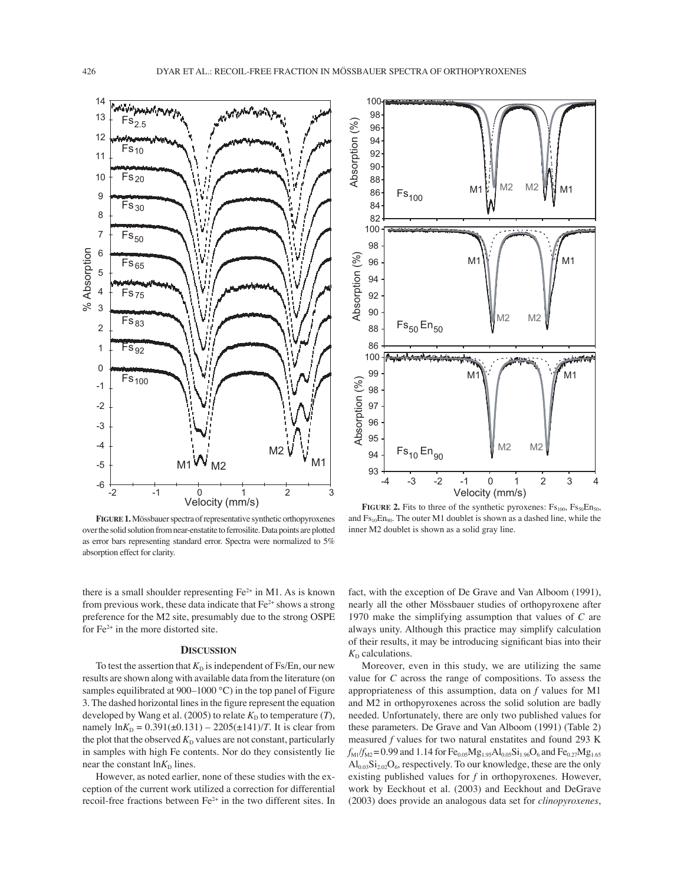

FIGURE 1. Mössbauer spectra of representative synthetic orthopyroxenes over the solid solution from near-enstatite to ferrosilite. Data points are plotted as error bars representing standard error. Spectra were normalized to 5% absorption effect for clarity.



**FIGURE 2.** Fits to three of the synthetic pyroxenes:  $Fs_{100}$ ,  $Fs_{50}En_{50}$ , and  $Fs_{10}En_{90}$ . The outer M1 doublet is shown as a dashed line, while the inner M2 doublet is shown as a solid gray line.

there is a small shoulder representing  $Fe<sup>2+</sup>$  in M1. As is known from previous work, these data indicate that  $Fe^{2+}$  shows a strong preference for the M2 site, presumably due to the strong OSPE for  $Fe<sup>2+</sup>$  in the more distorted site.

### **DISCUSSION**

To test the assertion that  $K<sub>D</sub>$  is independent of Fs/En, our new results are shown along with available data from the literature (on samples equilibrated at 900–1000 °C) in the top panel of Figure 3. The dashed horizontal lines in the figure represent the equation developed by Wang et al. (2005) to relate  $K<sub>D</sub>$  to temperature (*T*), namely  $\ln K_D = 0.391(\pm 0.131) - 2205(\pm 141)/T$ . It is clear from the plot that the observed  $K<sub>D</sub>$  values are not constant, particularly in samples with high Fe contents. Nor do they consistently lie near the constant  $\ln K_D$  lines.

However, as noted earlier, none of these studies with the exception of the current work utilized a correction for differential recoil-free fractions between  $Fe<sup>2+</sup>$  in the two different sites. In

fact, with the exception of De Grave and Van Alboom (1991), nearly all the other Mössbauer studies of orthopyroxene after 1970 make the simplifying assumption that values of *C* are always unity. Although this practice may simplify calculation of their results, it may be introducing significant bias into their  $K<sub>D</sub>$  calculations.

Moreover, even in this study, we are utilizing the same value for *C* across the range of compositions. To assess the appropriateness of this assumption, data on *f* values for M1 and M2 in orthopyroxenes across the solid solution are badly needed. Unfortunately, there are only two published values for these parameters. De Grave and Van Alboom (1991) (Table 2) measured *f* values for two natural enstatites and found 293 K  $f_{\text{M1}}/f_{\text{M2}} = 0.99$  and 1.14 for  $Fe_{0.05}Mg_{1.95}Al_{0.05}Si_{1.96}O_6$  and  $Fe_{0.27}Mg_{1.65}$  $\text{Al}_{0.03}\text{Si}_{2.02}\text{O}_6$ , respectively. To our knowledge, these are the only existing published values for *f* in orthopyroxenes. However, work by Eeckhout et al. (2003) and Eeckhout and DeGrave (2003) does provide an analogous data set for *clinopyroxenes*,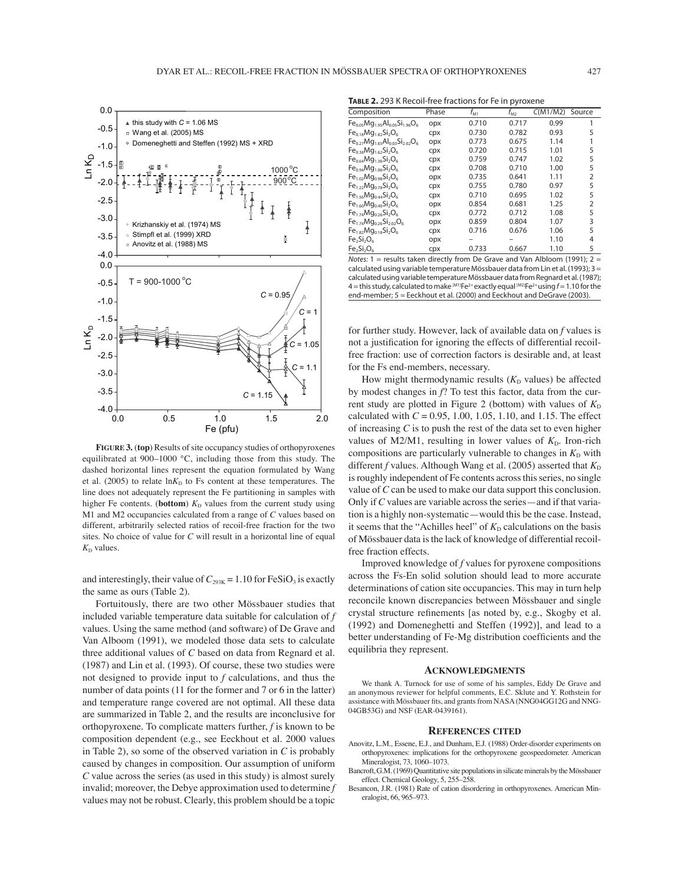

**FIGURE 3.** (**top**) Results of site occupancy studies of orthopyroxenes equilibrated at  $900-1000$  °C, including those from this study. The dashed horizontal lines represent the equation formulated by Wang et al. (2005) to relate  $\ln K_D$  to Fs content at these temperatures. The line does not adequately represent the Fe partitioning in samples with higher Fe contents. (**bottom**)  $K<sub>D</sub>$  values from the current study using M1 and M2 occupancies calculated from a range of *C* values based on different, arbitrarily selected ratios of recoil-free fraction for the two sites. No choice of value for *C* will result in a horizontal line of equal  $K<sub>D</sub>$  values.

and interestingly, their value of  $C_{293K} = 1.10$  for FeSiO<sub>3</sub> is exactly the same as ours (Table 2).

Fortuitously, there are two other Mössbauer studies that included variable temperature data suitable for calculation of *f* values. Using the same method (and software) of De Grave and Van Alboom (1991), we modeled those data sets to calculate three additional values of *C* based on data from Regnard et al. (1987) and Lin et al. (1993). Of course, these two studies were not designed to provide input to *f* calculations, and thus the number of data points (11 for the former and 7 or 6 in the latter) and temperature range covered are not optimal. All these data are summarized in Table 2, and the results are inconclusive for orthopyroxene. To complicate matters further, *f* is known to be composition dependent (e.g., see Eeckhout et al. 2000 values in Table 2), so some of the observed variation in *C* is probably caused by changes in composition. Our assumption of uniform *C* value across the series (as used in this study) is almost surely invalid; moreover, the Debye approximation used to determine *f* values may not be robust. Clearly, this problem should be a topic

**TABLE 2.** 293 K Recoil-free fractions for Fe in pyroxene

|                                           |       |                   | . .          |          |                |
|-------------------------------------------|-------|-------------------|--------------|----------|----------------|
| Composition                               | Phase | $f_{\mathsf{M1}}$ | $f_{\rm M2}$ | C(M1/M2) | Source         |
| $Fe0.05Mg1.95Al0.05Si1.96O6$              | opx   | 0.710             | 0.717        | 0.99     | 1              |
| $Fe0.18Mg1.82Si2O6$                       | cpx   | 0.730             | 0.782        | 0.93     | 5              |
| $Fe_{0.27}Mg_{1.65}Al_{0.03}Si_{2.02}O_6$ | opx   | 0.773             | 0.675        | 1.14     |                |
| $Fe_{0.38}Mg_{1.62}Si_2O_6$               | cpx   | 0.720             | 0.715        | 1.01     | 5              |
| $Fe0.64Mq1.36Si2O6$                       | cpx   | 0.759             | 0.747        | 1.02     | 5              |
| $Fe_{0.94}Mg_{1.06}Si_2O_6$               | cpx   | 0.708             | 0.710        | 1.00     | 5              |
| $Fe_{1.02}Mg_{0.98}Si_2O_6$               | opx   | 0.735             | 0.641        | 1.11     | $\overline{2}$ |
| $Fe_{1.22}Mg_{0.78}Si_2O_6$               | cpx   | 0.755             | 0.780        | 0.97     | 5              |
| $Fe1.56Mg0.44Si2O6$                       | cpx   | 0.710             | 0.695        | 1.02     | 5              |
| $Fe1.60Mg0.40Si2O6$                       | opx   | 0.854             | 0.681        | 1.25     | $\overline{2}$ |
| $Fe_{1.74}Mg_{0.26}Si_2O_6$               | cpx   | 0.772             | 0.712        | 1.08     | 5              |
| $Fe_{1.74}Mg_{0.26}Si_{2.02}O_6$          | opx   | 0.859             | 0.804        | 1.07     | 3              |
| $Fe_{1.82}Mg_{0.18}Si_2O_6$               | cpx   | 0.716             | 0.676        | 1.06     | 5              |
| $Fe2Si2O6$                                | opx   |                   |              | 1.10     | 4              |
| $Fe2Si2O6$                                | cpx   | 0.733             | 0.667        | 1.10     | 5              |

Notes:  $1 =$  results taken directly from De Grave and Van Albloom (1991);  $2 =$ calculated using variable temperature Mössbauer data from Lin et al. (1993); 3 = calculated using variable temperature Mössbauer data from Regnard et al. (1987); 4 = this study, calculated to make  $^{[M1]}Fe^{2+}$  exactly equal  $^{[M2]}Fe^{2+}$  using  $f = 1.10$  for the end-member; 5 = Eeckhout et al. (2000) and Eeckhout and DeGrave (2003).

for further study. However, lack of available data on *f* values is not a justification for ignoring the effects of differential recoilfree fraction: use of correction factors is desirable and, at least for the Fs end-members, necessary.

How might thermodynamic results  $(K_D)$  values) be affected by modest changes in *f*? To test this factor, data from the current study are plotted in Figure 2 (bottom) with values of  $K<sub>D</sub>$ calculated with *C* = 0.95, 1.00, 1.05, 1.10, and 1.15. The effect of increasing *C* is to push the rest of the data set to even higher values of M2/M1, resulting in lower values of  $K<sub>D</sub>$ . Iron-rich compositions are particularly vulnerable to changes in  $K<sub>D</sub>$  with different *f* values. Although Wang et al. (2005) asserted that  $K_D$ is roughly independent of Fe contents across this series, no single value of *C* can be used to make our data support this conclusion. Only if  $C$  values are variable across the series  $-$  and if that variation is a highly non-systematic—would this be the case. Instead, it seems that the "Achilles heel" of  $K<sub>D</sub>$  calculations on the basis of Mössbauer data is the lack of knowledge of differential recoilfree fraction effects.

Improved knowledge of *f* values for pyroxene compositions across the Fs-En solid solution should lead to more accurate determinations of cation site occupancies. This may in turn help reconcile known discrepancies between Mössbauer and single crystal structure refinements [as noted by, e.g., Skogby et al. (1992) and Domeneghetti and Steffen (1992)], and lead to a better understanding of Fe-Mg distribution coefficients and the equilibria they represent.

#### **ACKNOWLEDGMENTS**

We thank A. Turnock for use of some of his samples, Eddy De Grave and an anonymous reviewer for helpful comments, E.C. Sklute and Y. Rothstein for assistance with Mössbauer fits, and grants from NASA (NNG04GG12G and NNG-04GB53G) and NSF (EAR-0439161).

#### **REFERENCES CITED**

- Anovitz, L.M., Essene, E.J., and Dunham, E.J. (1988) Order-disorder experiments on orthopyroxenes: implications for the orthopyroxene geospeedometer. American Mineralogist, 73, 1060-1073.
- Bancroft, G.M. (1969) Quantitative site populations in silicate minerals by the Mössbauer effect. Chemical Geology, 5, 255-258.
- Besancon, J.R. (1981) Rate of cation disordering in orthopyroxenes. American Mineralogist, 66, 965-973.